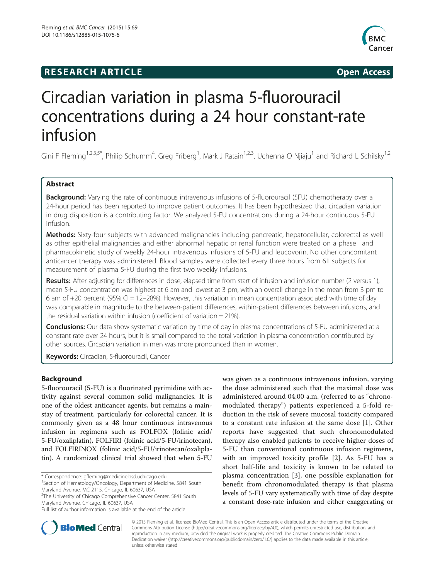## **RESEARCH ARTICLE Example 2014 The SEAR CH ACCESS**



# Circadian variation in plasma 5-fluorouracil concentrations during a 24 hour constant-rate infusion

Gini F Fleming<sup>1,2,3,5\*</sup>, Philip Schumm<sup>4</sup>, Greg Friberg<sup>1</sup>, Mark J Ratain<sup>1,2,3</sup>, Uchenna O Njiaju<sup>1</sup> and Richard L Schilsky<sup>1,2</sup>

## Abstract

Background: Varying the rate of continuous intravenous infusions of 5-fluorouracil (5FU) chemotherapy over a 24-hour period has been reported to improve patient outcomes. It has been hypothesized that circadian variation in drug disposition is a contributing factor. We analyzed 5-FU concentrations during a 24-hour continuous 5-FU infusion.

Methods: Sixty-four subjects with advanced malignancies including pancreatic, hepatocellular, colorectal as well as other epithelial malignancies and either abnormal hepatic or renal function were treated on a phase I and pharmacokinetic study of weekly 24-hour intravenous infusions of 5-FU and leucovorin. No other concomitant anticancer therapy was administered. Blood samples were collected every three hours from 61 subjects for measurement of plasma 5-FU during the first two weekly infusions.

Results: After adjusting for differences in dose, elapsed time from start of infusion and infusion number (2 versus 1), mean 5-FU concentration was highest at 6 am and lowest at 3 pm, with an overall change in the mean from 3 pm to 6 am of  $+20$  percent (95% CI = 12–28%). However, this variation in mean concentration associated with time of day was comparable in magnitude to the between-patient differences, within-patient differences between infusions, and the residual variation within infusion (coefficient of variation = 21%).

Conclusions: Our data show systematic variation by time of day in plasma concentrations of 5-FU administered at a constant rate over 24 hours, but it is small compared to the total variation in plasma concentration contributed by other sources. Circadian variation in men was more pronounced than in women.

Keywords: Circadian, 5-fluorouracil, Cancer

## Background

5-fluorouracil (5-FU) is a fluorinated pyrimidine with activity against several common solid malignancies. It is one of the oldest anticancer agents, but remains a mainstay of treatment, particularly for colorectal cancer. It is commonly given as a 48 hour continuous intravenous infusion in regimens such as FOLFOX (folinic acid/ 5-FU/oxaliplatin), FOLFIRI (folinic acid/5-FU/irinotecan), and FOLFIRINOX (folinic acid/5-FU/irinotecan/oxaliplatin). A randomized clinical trial showed that when 5-FU

<sup>1</sup> Section of Hematology/Oncology, Department of Medicine, 5841 South Maryland Avenue, MC 2115, Chicago, IL 60637, USA

<sup>2</sup>The University of Chicago Comprehensive Cancer Center, 5841 South Maryland Avenue, Chicago, IL 60637, USA

was given as a continuous intravenous infusion, varying the dose administered such that the maximal dose was administered around 04:00 a.m. (referred to as "chronomodulated therapy") patients experienced a 5-fold reduction in the risk of severe mucosal toxicity compared to a constant rate infusion at the same dose [[1\]](#page-6-0). Other reports have suggested that such chronomodulated therapy also enabled patients to receive higher doses of 5-FU than conventional continuous infusion regimens, with an improved toxicity profile [\[2](#page-6-0)]. As 5-FU has a short half-life and toxicity is known to be related to plasma concentration [\[3](#page-6-0)], one possible explanation for benefit from chronomodulated therapy is that plasma levels of 5-FU vary systematically with time of day despite a constant dose-rate infusion and either exaggerating or



© 2015 Fleming et al.; licensee BioMed Central. This is an Open Access article distributed under the terms of the Creative Commons Attribution License [\(http://creativecommons.org/licenses/by/4.0\)](http://creativecommons.org/licenses/by/4.0), which permits unrestricted use, distribution, and reproduction in any medium, provided the original work is properly credited. The Creative Commons Public Domain Dedication waiver [\(http://creativecommons.org/publicdomain/zero/1.0/](http://creativecommons.org/publicdomain/zero/1.0/)) applies to the data made available in this article, unless otherwise stated.

<sup>\*</sup> Correspondence: [gfleming@medicine.bsd.uchicago.edu](mailto:gfleming@medicine.bsd.uchicago.edu) <sup>1</sup>

Full list of author information is available at the end of the article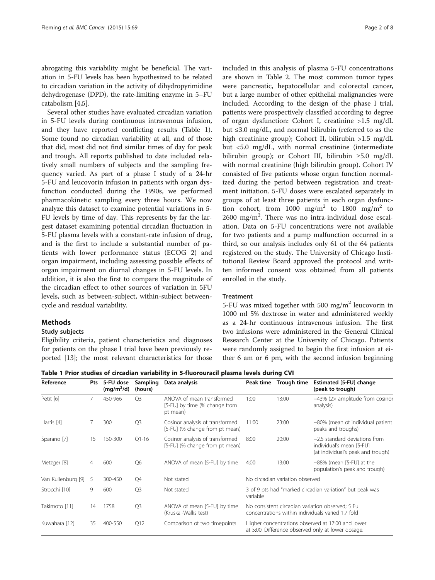<span id="page-1-0"></span>abrogating this variability might be beneficial. The variation in 5-FU levels has been hypothesized to be related to circadian variation in the activity of dihydropyrimidine dehydrogenase (DPD), the rate-limiting enzyme in 5–FU catabolism [\[4,5\]](#page-6-0).

Several other studies have evaluated circadian variation in 5-FU levels during continuous intravenous infusion, and they have reported conflicting results (Table 1). Some found no circadian variability at all, and of those that did, most did not find similar times of day for peak and trough. All reports published to date included relatively small numbers of subjects and the sampling frequency varied. As part of a phase I study of a 24-hr 5-FU and leucovorin infusion in patients with organ dysfunction conducted during the 1990s, we performed pharmacokinetic sampling every three hours. We now analyze this dataset to examine potential variations in 5- FU levels by time of day. This represents by far the largest dataset examining potential circadian fluctuation in 5-FU plasma levels with a constant-rate infusion of drug, and is the first to include a substantial number of patients with lower performance status (ECOG 2) and organ impairment, including assessing possible effects of organ impairment on diurnal changes in 5-FU levels. In addition, it is also the first to compare the magnitude of the circadian effect to other sources of variation in 5FU levels, such as between-subject, within-subject betweencycle and residual variability.

#### Methods

#### Study subjects

Eligibility criteria, patient characteristics and diagnoses for patients on the phase I trial have been previously reported [\[13\]](#page-6-0); the most relevant characteristics for those included in this analysis of plasma 5-FU concentrations are shown in Table [2.](#page-2-0) The most common tumor types were pancreatic, hepatocellular and colorectal cancer, but a large number of other epithelial malignancies were included. According to the design of the phase I trial, patients were prospectively classified according to degree of organ dysfunction: Cohort I, creatinine >1.5 mg/dL but ≤3.0 mg/dL, and normal bilirubin (referred to as the high creatinine group); Cohort II, bilirubin >1.5 mg/dL but <5.0 mg/dL, with normal creatinine (intermediate bilirubin group); or Cohort III, bilirubin ≥5.0 mg/dL with normal creatinine (high bilirubin group). Cohort IV consisted of five patients whose organ function normalized during the period between registration and treatment initiation. 5-FU doses were escalated separately in groups of at least three patients in each organ dysfunction cohort, from 1000 mg/m<sup>2</sup> to 1800 mg/m<sup>2</sup> to 2600 mg/m<sup>2</sup> . There was no intra-individual dose escalation. Data on 5-FU concentrations were not available for two patients and a pump malfunction occurred in a third, so our analysis includes only 61 of the 64 patients registered on the study. The University of Chicago Institutional Review Board approved the protocol and written informed consent was obtained from all patients enrolled in the study.

#### Treatment

5-FU was mixed together with 500 mg/m<sup>2</sup> leucovorin in 1000 ml 5% dextrose in water and administered weekly as a 24-hr continuous intravenous infusion. The first two infusions were administered in the General Clinical Research Center at the University of Chicago. Patients were randomly assigned to begin the first infusion at either 6 am or 6 pm, with the second infusion beginning

Table 1 Prior studies of circadian variability in 5-fluorouracil plasma levels during CVI

| Reference          | Pts | 5-FU dose<br>$(mg/m^2/d)$ | Sampling<br>(hours) | Data analysis                                                          | Peak time                                                                                               | Trough time | Estimated [5-FU] change<br>(peak to trough)                                                      |
|--------------------|-----|---------------------------|---------------------|------------------------------------------------------------------------|---------------------------------------------------------------------------------------------------------|-------------|--------------------------------------------------------------------------------------------------|
| Petit [6]          | 7   | 450-966                   | Q <sub>3</sub>      | ANOVA of mean transformed<br>[5-FU] by time (% change from<br>pt mean) | 1:00                                                                                                    | 13:00       | $-43\%$ (2 $\times$ amplitude from cosinor<br>analysis)                                          |
| Harris [4]         |     | 300                       | Q <sub>3</sub>      | Cosinor analysis of transformed<br>[5-FU] (% change from pt mean)      | 11:00                                                                                                   | 23:00       | -80% (mean of individual patient<br>peaks and troughs)                                           |
| Sparano [7]        | 15  | 150-300                   | $Q1-16$             | Cosinor analysis of transformed<br>[5-FU] (% change from pt mean)      | 8:00                                                                                                    | 20:00       | $-2.5$ standard deviations from<br>individual's mean [5-FU]<br>(at individual's peak and trough) |
| Metzger [8]        | 4   | 600                       | Q <sub>6</sub>      | ANOVA of mean [5-FU] by time                                           | 4:00                                                                                                    | 13:00       | $-88%$ (mean [5-FU] at the<br>population's peak and trough)                                      |
| Van Kuilenburg [9] | 5   | 300-450                   | Q4                  | Not stated                                                             | No circadian variation observed                                                                         |             |                                                                                                  |
| Strocchi [10]      | 9   | 600                       | O <sub>3</sub>      | Not stated                                                             | 3 of 9 pts had "marked circadian variation" but peak was<br>variable                                    |             |                                                                                                  |
| Takimoto [11]      | 14  | 1758                      | Q <sub>3</sub>      | ANOVA of mean [5-FU] by time<br>(Kruskal-Wallis test)                  | No consistent circadian variation observed; 5 Fu<br>concentrations within individuals varied 1.7 fold   |             |                                                                                                  |
| Kuwahara [12]      | 35  | 400-550                   | Q12                 | Comparison of two timepoints                                           | Higher concentrations observed at 17:00 and lower<br>at 5:00. Difference observed only at lower dosage. |             |                                                                                                  |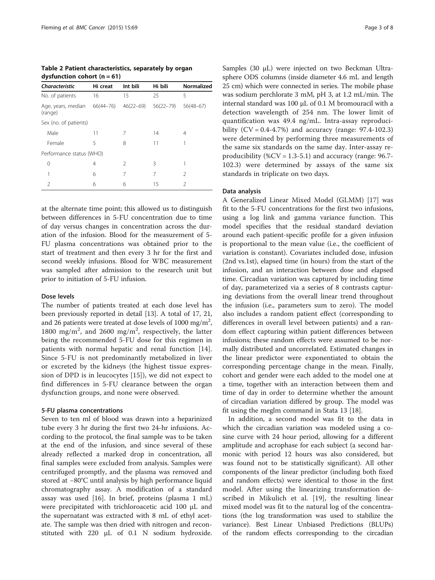<span id="page-2-0"></span>

| Table 2 Patient characteristics, separately by organ |  |
|------------------------------------------------------|--|
| dysfunction cohort $(n = 61)$                        |  |

| <b>Characteristic</b>                   | Hi creat | Int bili      | Hi bili       | Normalized  |  |
|-----------------------------------------|----------|---------------|---------------|-------------|--|
| No. of patients                         | 16       | 15            | 25            | 5           |  |
| Age, years, median 66(44-76)<br>(range) |          | $46(22 - 69)$ | $56(22 - 79)$ | $56(48-67)$ |  |
| Sex (no. of patients)                   |          |               |               |             |  |
| Male                                    | 11       | 7             | 14            | 4           |  |
| Female                                  | 5        | 8             | 11            |             |  |
| Performance status (WHO)                |          |               |               |             |  |
| 0                                       | 4        | $\mathcal{L}$ | 3             |             |  |
| 1                                       | 6        | 7             | 7             | 2           |  |
| C                                       | 6        | 6             | 15            | 2           |  |
|                                         |          |               |               |             |  |

at the alternate time point; this allowed us to distinguish between differences in 5-FU concentration due to time of day versus changes in concentration across the duration of the infusion. Blood for the measurement of 5- FU plasma concentrations was obtained prior to the start of treatment and then every 3 hr for the first and second weekly infusions. Blood for WBC measurement was sampled after admission to the research unit but prior to initiation of 5-FU infusion.

### Dose levels

The number of patients treated at each dose level has been previously reported in detail [\[13](#page-6-0)]. A total of 17, 21, and 26 patients were treated at dose levels of 1000 mg/m<sup>2</sup>, 1800 mg/m<sup>2</sup>, and 2600 mg/m<sup>2</sup>, respectively, the latter being the recommended 5-FU dose for this regimen in patients with normal hepatic and renal function [\[14](#page-7-0)]. Since 5-FU is not predominantly metabolized in liver or excreted by the kidneys (the highest tissue expression of DPD is in leucocytes [[15\]](#page-7-0)), we did not expect to find differences in 5-FU clearance between the organ dysfunction groups, and none were observed.

#### 5-FU plasma concentrations

Seven to ten ml of blood was drawn into a heparinized tube every 3 hr during the first two 24-hr infusions. According to the protocol, the final sample was to be taken at the end of the infusion, and since several of these already reflected a marked drop in concentration, all final samples were excluded from analysis. Samples were centrifuged promptly, and the plasma was removed and stored at −80°C until analysis by high performance liquid chromatography assay. A modification of a standard assay was used [\[16](#page-7-0)]. In brief, proteins (plasma 1 mL) were precipitated with trichloroacetic acid 100 μL and the supernatant was extracted with 8 mL of ethyl acetate. The sample was then dried with nitrogen and reconstituted with 220 μL of 0.1 N sodium hydroxide. Samples (30 μL) were injected on two Beckman Ultrasphere ODS columns (inside diameter 4.6 mL and length 25 cm) which were connected in series. The mobile phase was sodium perchlorate 3 mM, pH 3, at 1.2 mL/min. The internal standard was 100 μL of 0.1 M bromouracil with a detection wavelength of 254 nm. The lower limit of quantification was 49.4 ng/mL. Intra-assay reproducibility  $(CV = 0.4 - 4.7%)$  and accuracy (range: 97.4-102.3) were determined by performing three measurements of the same six standards on the same day. Inter-assay reproducibility (% $CV = 1.3-5.1$ ) and accuracy (range: 96.7-102.3) were determined by assays of the same six standards in triplicate on two days.

#### Data analysis

A Generalized Linear Mixed Model (GLMM) [[17\]](#page-7-0) was fit to the 5-FU concentrations for the first two infusions, using a log link and gamma variance function. This model specifies that the residual standard deviation around each patient-specific profile for a given infusion is proportional to the mean value (i.e., the coefficient of variation is constant). Covariates included dose, infusion (2nd vs.1st), elapsed time (in hours) from the start of the infusion, and an interaction between dose and elapsed time. Circadian variation was captured by including time of day, parameterized via a series of 8 contrasts capturing deviations from the overall linear trend throughout the infusion (i.e., parameters sum to zero). The model also includes a random patient effect (corresponding to differences in overall level between patients) and a random effect capturing within patient differences between infusions; these random effects were assumed to be normally distributed and uncorrelated. Estimated changes in the linear predictor were exponentiated to obtain the corresponding percentage change in the mean. Finally, cohort and gender were each added to the model one at a time, together with an interaction between them and time of day in order to determine whether the amount of circadian variation differed by group. The model was fit using the meglm command in Stata 13 [[18](#page-7-0)].

In addition, a second model was fit to the data in which the circadian variation was modeled using a cosine curve with 24 hour period, allowing for a different amplitude and acrophase for each subject (a second harmonic with period 12 hours was also considered, but was found not to be statistically significant). All other components of the linear predictor (including both fixed and random effects) were identical to those in the first model. After using the linearizing transformation described in Mikulich et al. [\[19](#page-7-0)], the resulting linear mixed model was fit to the natural log of the concentrations (the log transformation was used to stabilize the variance). Best Linear Unbiased Predictions (BLUPs) of the random effects corresponding to the circadian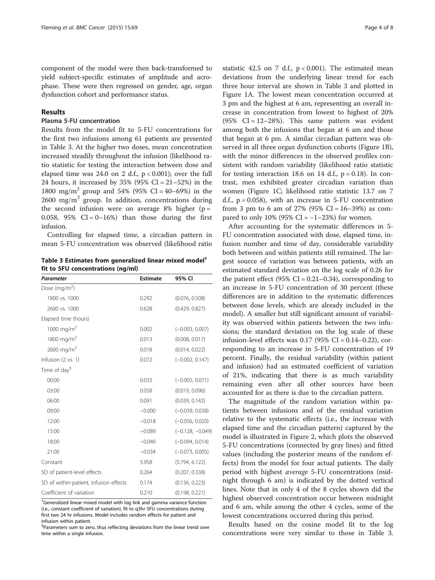component of the model were then back-transformed to yield subject-specific estimates of amplitude and acrophase. These were then regressed on gender, age, organ dysfunction cohort and performance status.

### Results

#### Plasma 5-FU concentration

Results from the model fit to 5-FU concentrations for the first two infusions among 61 patients are presented in Table 3. At the higher two doses, mean concentration increased steadily throughout the infusion (likelihood ratio statistic for testing the interaction between dose and elapsed time was 24.0 on 2 d.f.,  $p < 0.001$ ); over the full 24 hours, it increased by 35% (95% CI = 21–52%) in the 1800 mg/m<sup>2</sup> group and 54% (95% CI = 40–69%) in the  $2600 \text{ mg/m}^2$  group. In addition, concentrations during the second infusion were on average  $8\%$  higher (p = 0.058, 95%  $CI = 0-16%$  than those during the first infusion.

Controlling for elapsed time, a circadian pattern in mean 5-FU concentration was observed (likelihood ratio

Table 3 Estimates from generalized linear mixed model† fit to 5FU concentrations (ng/ml)

| Parameter                              | <b>Estimate</b> | 95% CI             |
|----------------------------------------|-----------------|--------------------|
| Dose (mg/m <sup>2</sup> )              |                 |                    |
| 1800 vs. 1000                          | 0.292           | (0.076, 0.508)     |
| 2600 vs. 1000                          | 0.628           | (0.429, 0.827)     |
| Elapsed time (hours)                   |                 |                    |
| 1000 mg/m <sup>2</sup>                 | 0.002           | $(-0.003, 0.007)$  |
| 1800 mg/m <sup>2</sup>                 | 0.013           | (0.008, 0.017)     |
| 2600 mg/m <sup>2</sup>                 | 0.018           | (0.014, 0.022)     |
| Infusion (2 vs. 1)                     | 0.072           | $(-0.002, 0.147)$  |
| Time of day <sup>§</sup>               |                 |                    |
| 00:00                                  | 0.033           | $(-0.005, 0.071)$  |
| 03:00                                  | 0.058           | (0.019, 0.096)     |
| 06:00                                  | 0.091           | (0.039, 0.142)     |
| 09:00                                  | $-0.000$        | $(-0.039, 0.038)$  |
| 12:00                                  | $-0.018$        | $(-0.056, 0.020)$  |
| 15:00                                  | $-0.089$        | $(-0.128, -0.049)$ |
| 18:00                                  | $-0.040$        | $(-0.094, 0.014)$  |
| 21:00                                  | $-0.034$        | $(-0.073, 0.005)$  |
| Constant                               | 5.958           | (5.794, 6.122)     |
| SD of patient-level effects            | 0.264           | (0.207, 0.338)     |
| SD of within-patient, infusion effects | 0.174           | (0.136, 0.223)     |
| Coefficient of variation               | 0.210           | (0.198, 0.221)     |

† Generalized linear mixed model with log link and gamma variance function (i.e., constant coefficient of variation), fit to q3hr 5FU concentrations during first two 24 hr infusions. Model includes random effects for patient and infusion within patient.

§ Parameters sum to zero, thus reflecting deviations from the linear trend over time within a single infusion.

statistic 42.5 on 7 d.f.,  $p < 0.001$ ). The estimated mean deviations from the underlying linear trend for each three hour interval are shown in Table 3 and plotted in Figure [1A](#page-4-0). The lowest mean concentration occurred at 3 pm and the highest at 6 am, representing an overall increase in concentration from lowest to highest of 20% (95%  $CI = 12-28%$ ). This same pattern was evident among both the infusions that began at 6 am and those that began at 6 pm. A similar circadian pattern was observed in all three organ dysfunction cohorts (Figure [1](#page-4-0)B), with the minor differences in the observed profiles consistent with random variability (likelihood ratio statistic for testing interaction 18.6 on 14 d.f.,  $p = 0.18$ ). In contrast, men exhibited greater circadian variation than women (Figure [1](#page-4-0)C; likelihood ratio statistic 13.7 on 7 d.f.,  $p = 0.058$ ), with an increase in 5-FU concentration from 3 pm to 6 am of 27% (95% CI =  $16-39%$ ) as compared to only 10% (95% CI =  $-1-23%$ ) for women.

After accounting for the systematic differences in 5- FU concentration associated with dose, elapsed time, infusion number and time of day, considerable variability both between and within patients still remained. The largest source of variation was between patients, with an estimated standard deviation on the log scale of 0.26 for the patient effect (95% CI =  $0.21-0.34$ ), corresponding to an increase in 5-FU concentration of 30 percent (these differences are in addition to the systematic differences between dose levels, which are already included in the model). A smaller but still significant amount of variability was observed within patients between the two infusions; the standard deviation on the log scale of these infusion-level effects was  $0.17$  (95% CI =  $0.14-0.22$ ), corresponding to an increase in 5-FU concentration of 19 percent. Finally, the residual variability (within patient and infusion) had an estimated coefficient of variation of 21%, indicating that there is as much variability remaining even after all other sources have been accounted for as there is due to the circadian pattern.

The magnitude of the random variation within patients between infusions and of the residual variation relative to the systematic effects (i.e., the increase with elapsed time and the circadian pattern) captured by the model is illustrated in Figure [2,](#page-5-0) which plots the observed 5-FU concentrations (connected by gray lines) and fitted values (including the posterior means of the random effects) from the model for four actual patients. The daily period with highest average 5-FU concentrations (midnight through 6 am) is indicated by the dotted vertical lines. Note that in only 4 of the 8 cycles shown did the highest observed concentration occur between midnight and 6 am, while among the other 4 cycles, some of the lowest concentrations occurred during this period.

Results based on the cosine model fit to the log concentrations were very similar to those in Table 3.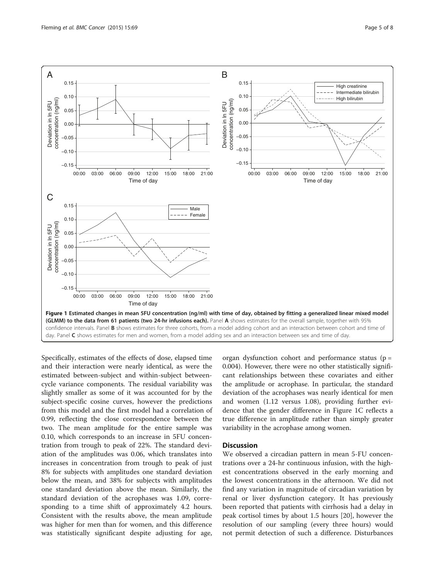<span id="page-4-0"></span>

Specifically, estimates of the effects of dose, elapsed time and their interaction were nearly identical, as were the estimated between-subject and within-subject betweencycle variance components. The residual variability was slightly smaller as some of it was accounted for by the subject-specific cosine curves, however the predictions from this model and the first model had a correlation of 0.99, reflecting the close correspondence between the two. The mean amplitude for the entire sample was 0.10, which corresponds to an increase in 5FU concentration from trough to peak of 22%. The standard deviation of the amplitudes was 0.06, which translates into increases in concentration from trough to peak of just 8% for subjects with amplitudes one standard deviation below the mean, and 38% for subjects with amplitudes one standard deviation above the mean. Similarly, the standard deviation of the acrophases was 1.09, corresponding to a time shift of approximately 4.2 hours. Consistent with the results above, the mean amplitude was higher for men than for women, and this difference was statistically significant despite adjusting for age,

organ dysfunction cohort and performance status ( $p =$ 0.004). However, there were no other statistically significant relationships between these covariates and either the amplitude or acrophase. In particular, the standard deviation of the acrophases was nearly identical for men and women (1.12 versus 1.08), providing further evidence that the gender difference in Figure 1C reflects a true difference in amplitude rather than simply greater variability in the acrophase among women.

## **Discussion**

We observed a circadian pattern in mean 5-FU concentrations over a 24-hr continuous infusion, with the highest concentrations observed in the early morning and the lowest concentrations in the afternoon. We did not find any variation in magnitude of circadian variation by renal or liver dysfunction category. It has previously been reported that patients with cirrhosis had a delay in peak cortisol times by about 1.5 hours [[20\]](#page-7-0), however the resolution of our sampling (every three hours) would not permit detection of such a difference. Disturbances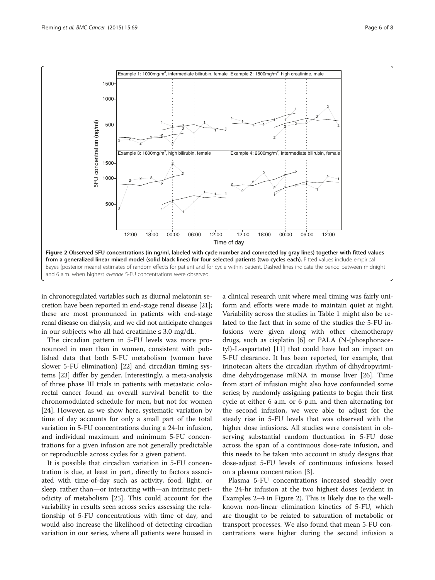<span id="page-5-0"></span>

in chronoregulated variables such as diurnal melatonin secretion have been reported in end-stage renal disease [[21](#page-7-0)]; these are most pronounced in patients with end-stage renal disease on dialysis, and we did not anticipate changes in our subjects who all had creatinine  $\leq 3.0$  mg/dL.

The circadian pattern in 5-FU levels was more pronounced in men than in women, consistent with published data that both 5-FU metabolism (women have slower 5-FU elimination) [\[22\]](#page-7-0) and circadian timing systems [[23\]](#page-7-0) differ by gender. Interestingly, a meta-analysis of three phase III trials in patients with metastatic colorectal cancer found an overall survival benefit to the chronomodulated schedule for men, but not for women [[24\]](#page-7-0). However, as we show here, systematic variation by time of day accounts for only a small part of the total variation in 5-FU concentrations during a 24-hr infusion, and individual maximum and minimum 5-FU concentrations for a given infusion are not generally predictable or reproducible across cycles for a given patient.

It is possible that circadian variation in 5-FU concentration is due, at least in part, directly to factors associated with time-of-day such as activity, food, light, or sleep, rather than—or interacting with—an intrinsic periodicity of metabolism [[25\]](#page-7-0). This could account for the variability in results seen across series assessing the relationship of 5-FU concentrations with time of day, and would also increase the likelihood of detecting circadian variation in our series, where all patients were housed in a clinical research unit where meal timing was fairly uniform and efforts were made to maintain quiet at night. Variability across the studies in Table [1](#page-1-0) might also be related to the fact that in some of the studies the 5-FU infusions were given along with other chemotherapy drugs, such as cisplatin [\[6](#page-6-0)] or PALA (N-(phosphonacetyl)-L-aspartate) [[11](#page-6-0)] that could have had an impact on 5-FU clearance. It has been reported, for example, that irinotecan alters the circadian rhythm of dihydropyrimidine dehydrogenase mRNA in mouse liver [[26\]](#page-7-0). Time from start of infusion might also have confounded some series; by randomly assigning patients to begin their first cycle at either 6 a.m. or 6 p.m. and then alternating for the second infusion, we were able to adjust for the steady rise in 5-FU levels that was observed with the higher dose infusions. All studies were consistent in observing substantial random fluctuation in 5-FU dose across the span of a continuous dose-rate infusion, and this needs to be taken into account in study designs that dose-adjust 5-FU levels of continuous infusions based on a plasma concentration [[3\]](#page-6-0).

Plasma 5-FU concentrations increased steadily over the 24-hr infusion at the two highest doses (evident in Examples 2–4 in Figure 2). This is likely due to the wellknown non-linear elimination kinetics of 5-FU, which are thought to be related to saturation of metabolic or transport processes. We also found that mean 5-FU concentrations were higher during the second infusion a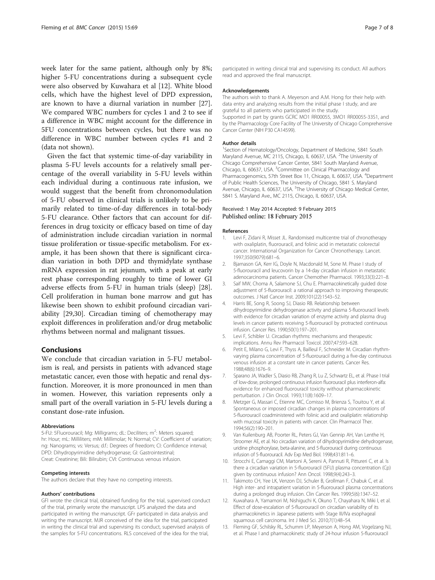<span id="page-6-0"></span>week later for the same patient, although only by 8%; higher 5-FU concentrations during a subsequent cycle were also observed by Kuwahara et al [12]. White blood cells, which have the highest level of DPD expression, are known to have a diurnal variation in number [\[27](#page-7-0)]. We compared WBC numbers for cycles 1 and 2 to see if a difference in WBC might account for the difference in 5FU concentrations between cycles, but there was no difference in WBC number between cycles #1 and 2 (data not shown).

Given the fact that systemic time-of-day variability in plasma 5-FU levels accounts for a relatively small percentage of the overall variability in 5-FU levels within each individual during a continuous rate infusion, we would suggest that the benefit from chronomodulation of 5-FU observed in clinical trials is unlikely to be primarily related to time-of-day differences in total-body 5-FU clearance. Other factors that can account for differences in drug toxicity or efficacy based on time of day of administration include circadian variation in normal tissue proliferation or tissue-specific metabolism. For example, it has been shown that there is significant circadian variation in both DPD and thymidylate synthase mRNA expression in rat jejunum, with a peak at early rest phase corresponding roughly to time of lower GI adverse effects from 5-FU in human trials (sleep) [\[28](#page-7-0)]. Cell proliferation in human bone marrow and gut has likewise been shown to exhibit profound circadian variability [[29](#page-7-0),[30](#page-7-0)]. Circadian timing of chemotherapy may exploit differences in proliferation and/or drug metabolic rhythms between normal and malignant tissues.

## Conclusions

We conclude that circadian variation in 5-FU metabolism is real, and persists in patients with advanced stage metastatic cancer, even those with hepatic and renal dysfunction. Moreover, it is more pronounced in men than in women. However, this variation represents only a small part of the overall variation in 5-FU levels during a constant dose-rate infusion.

#### Abbreviations

5-FU: 5Fluorouracil; Mg: Milligrams; dL: Deciliters; m<sup>2</sup>: Meters squared; hr: Hour; mL: Milliliters; mM: Millimolar; N: Normal; CV: Coefficient of variation; ng: Nanograms; vs: Versus; d.f.: Degrees of freedom; CI: Confidence interval; DPD: Dihydropyrimidine dehydrogenase; GI: Gastrointestinal; Creat: Creatinine; Bili: Bilirubin; CVI: Continuous venous infusion.

#### Competing interests

The authors declare that they have no competing interests.

#### Authors' contributions

GFl wrote the clinical trial, obtained funding for the trial, supervised conduct of the trial, primarily wrote the manuscript. LPS analyzed the data and participated in writing the manuscript. GFr participated in data analysis and writing the manuscript. MJR conceived of the idea for the trial, participated in writing the clinical trial and supervising its conduct, supervised analysis of the samples for 5-FU concentrations. RLS conceived of the idea for the trial,

participated in writing clinical trial and supervising its conduct. All authors read and approved the final manuscript.

#### Acknowledgements

The authors wish to thank A. Meyerson and A.M. Hong for their help with data entry and analyzing results from the initial phase I study, and are grateful to all patients who participated in the study. Supported in part by grants GCRC MO1 RR00055, 3MO1 RR00055-33S1, and

by the Pharmacology Core Facility of The University of Chicago Comprehensive Cancer Center (NIH P30 CA14599).

#### Author details

<sup>1</sup>Section of Hematology/Oncology, Department of Medicine, 5841 South Maryland Avenue, MC 2115, Chicago, IL 60637, USA. <sup>2</sup>The University of Chicago Comprehensive Cancer Center, 5841 South Maryland Avenue, Chicago, IL 60637, USA. <sup>3</sup>Committee on Clinical Pharmacology and Pharmacogenomics, 57th Street Box 11, Chicago, IL 60637, USA. <sup>4</sup>Department of Public Health Sciences, The University of Chicago, 5841 S. Maryland Avenue, Chicago, IL 60637, USA. <sup>5</sup>The University of Chicago Medical Center, 5841 S. Maryland Ave., MC 2115, Chicago, IL 60637, USA.

#### Received: 1 May 2014 Accepted: 9 February 2015 Published online: 18 February 2015

#### References

- 1. Levi F, Zidani R, Misset JL. Randomised multicentre trial of chronotherapy with oxaliplatin, fluorouracil, and folinic acid in metastatic colorectal cancer. International Organization for Cancer Chronotherapy. Lancet. 1997;350(9079):681–6.
- 2. Bjarnason GA, Kerr IG, Doyle N, Macdonald M, Sone M. Phase I study of 5-fluorouracil and leucovorin by a 14-day circadian infusion in metastatic adenocarcinoma patients. Cancer Chemother Pharmacol. 1993;33(3):221–8.
- 3. Saif MW, Choma A, Salamone SJ, Chu E. Pharmacokinetically guided dose adjustment of 5-fluorouracil: a rational approach to improving therapeutic outcomes. J Natl Cancer Inst. 2009;101(22):1543–52.
- 4. Harris BE, Song R, Soong SJ, Diasio RB. Relationship between dihydropyrimidine dehydrogenase activity and plasma 5-fluorouracil levels with evidence for circadian variation of enzyme activity and plasma drug levels in cancer patients receiving 5-fluorouracil by protracted continuous infusion. Cancer Res. 1990;50(1):197–201.
- 5. Levi F, Schibler U. Circadian rhythms: mechanisms and therapeutic implications. Annu Rev Pharmacol Toxicol. 2007;47:593–628.
- 6. Petit E, Milano G, Levi F, Thyss A, Bailleul F, Schneider M. Circadian rhythmvarying plasma concentration of 5-fluorouracil during a five-day continuous venous infusion at a constant rate in cancer patients. Cancer Res. 1988;48(6):1676–9.
- 7. Sparano JA, Wadler S, Diasio RB, Zhang R, Lu Z, Schwartz EL, et al. Phase I trial of low-dose, prolonged continuous infusion fluorouracil plus interferon-alfa: evidence for enhanced fluorouracil toxicity without pharmacokinetic perturbation. J Clin Oncol. 1993;11(8):1609–17.
- 8. Metzger G, Massari C, Etienne MC, Comisso M, Brienza S, Touitou Y, et al. Spontaneous or imposed circadian changes in plasma concentrations of 5-fluorouracil coadministered with folinic acid and oxaliplatin: relationship with mucosal toxicity in patients with cancer. Clin Pharmacol Ther. 1994;56(2):190–201.
- Van Kuilenburg AB, Poorter RL, Peters GJ, Van Gennip AH, Van Lenthe H, Stroomer AE, et al. No circadian variation of dihydropyrimidine dehydrogenase, uridine phosphorylase, beta-alanine, and 5-fluorouracil during continuous infusion of 5-fluorouracil. Adv Exp Med Biol. 1998;431:811–6.
- 10. Strocchi E, Camaggi CM, Martoni A, Sereni A, Pannuti R, Pittureri C, et al. Is there a circadian variation in 5-fluorouracil (5FU) plasma concentration (Cp) given by continuous infusion? Ann Oncol. 1998;9(4):243–3.
- 11. Takimoto CH, Yee LK, Venzon DJ, Schuler B, Grollman F, Chabuk C, et al. High inter- and intrapatient variation in 5-fluorouracil plasma concentrations during a prolonged drug infusion. Clin Cancer Res. 1999;5(6):1347–52.
- 12. Kuwahara A, Yamamori M, Nishiguchi K, Okuno T, Chayahara N, Miki I, et al. Effect of dose-escalation of 5-fluorouracil on circadian variability of its pharmacokinetics in Japanese patients with Stage III/IVa esophageal squamous cell carcinoma. Int J Med Sci. 2010;7(1):48–54.
- 13. Fleming GF, Schilsky RL, Schumm LP, Meyerson A, Hong AM, Vogelzang NJ, et al. Phase I and pharmacokinetic study of 24-hour infusion 5-fluorouracil